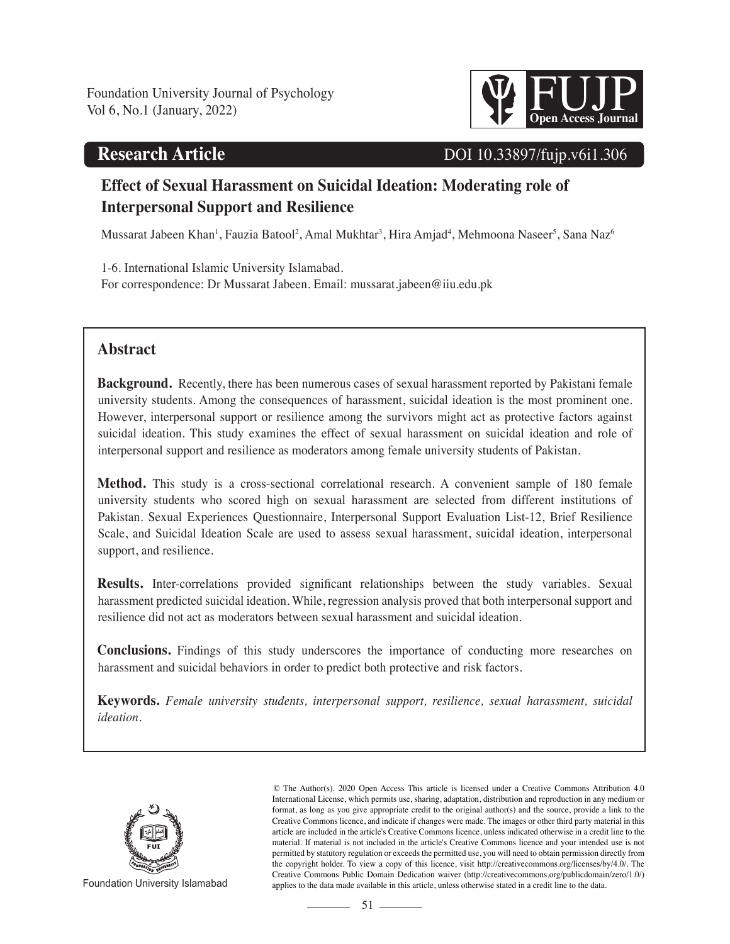# **Research Article**



# DOI 10.33897/fujp.v6i1.306

# **Effect of Sexual Harassment on Suicidal Ideation: Moderating role of Interpersonal Support and Resilience**

Mussarat Jabeen Khan<sup>1</sup>, Fauzia Batool<sup>2</sup>, Amal Mukhtar<sup>3</sup>, Hira Amjad<sup>4</sup>, Mehmoona Naseer<sup>5</sup>, Sana Naz<sup>6</sup>

1-6. International Islamic University Islamabad. For correspondence: Dr Mussarat Jabeen. Email: mussarat.jabeen@iiu.edu.pk

# **Abstract**

**Background.** Recently, there has been numerous cases of sexual harassment reported by Pakistani female university students. Among the consequences of harassment, suicidal ideation is the most prominent one. However, interpersonal support or resilience among the survivors might act as protective factors against suicidal ideation. This study examines the effect of sexual harassment on suicidal ideation and role of interpersonal support and resilience as moderators among female university students of Pakistan.

**Method.** This study is a cross-sectional correlational research. A convenient sample of 180 female university students who scored high on sexual harassment are selected from different institutions of Pakistan. Sexual Experiences Questionnaire, Interpersonal Support Evaluation List-12, Brief Resilience Scale, and Suicidal Ideation Scale are used to assess sexual harassment, suicidal ideation, interpersonal support, and resilience.

**Results.** Inter-correlations provided significant relationships between the study variables. Sexual harassment predicted suicidal ideation. While, regression analysis proved that both interpersonal support and resilience did not act as moderators between sexual harassment and suicidal ideation.

**Conclusions.** Findings of this study underscores the importance of conducting more researches on harassment and suicidal behaviors in order to predict both protective and risk factors.

**Keywords.** *Female university students, interpersonal support, resilience, sexual harassment, suicidal ideation.*



© The Author(s). 2020 Open Access This article is licensed under a Creative Commons Attribution 4.0 International License, which permits use, sharing, adaptation, distribution and reproduction in any medium or format, as long as you give appropriate credit to the original author(s) and the source, provide a link to the Creative Commons licence, and indicate if changes were made. The images or other third party material in this article are included in the article's Creative Commons licence, unless indicated otherwise in a credit line to the material. If material is not included in the article's Creative Commons licence and your intended use is not permitted by statutory regulation or exceeds the permitted use, you will need to obtain permission directly from the copyright holder. To view a copy of this licence, visit http://creativecommons.org/licenses/by/4.0/. The Creative Commons Public Domain Dedication waiver (http://creativecommons.org/publicdomain/zero/1.0/) Foundation University Islamabad applies to the data made available in this article, unless otherwise stated in a credit line to the data.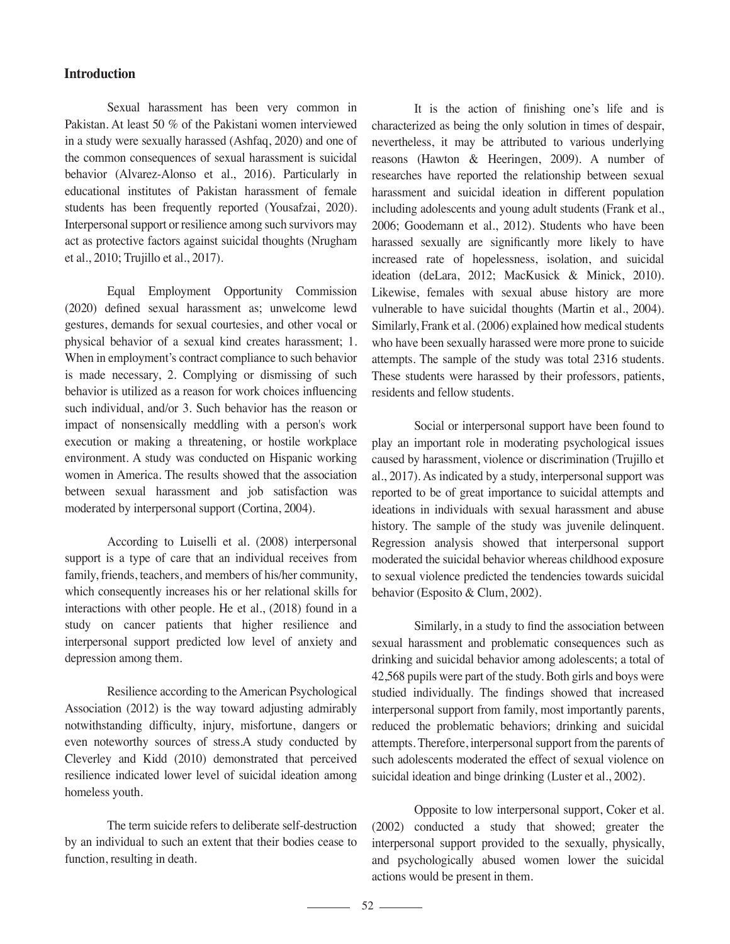### **Introduction**

 Sexual harassment has been very common in Pakistan. At least 50 % of the Pakistani women interviewed in a study were sexually harassed (Ashfaq, 2020) and one of the common consequences of sexual harassment is suicidal behavior (Alvarez-Alonso et al., 2016). Particularly in educational institutes of Pakistan harassment of female students has been frequently reported (Yousafzai, 2020). Interpersonal support or resilience among such survivors may act as protective factors against suicidal thoughts (Nrugham et al., 2010; Trujillo et al., 2017).

 Equal Employment Opportunity Commission (2020) defined sexual harassment as; unwelcome lewd gestures, demands for sexual courtesies, and other vocal or physical behavior of a sexual kind creates harassment; 1. When in employment's contract compliance to such behavior is made necessary, 2. Complying or dismissing of such behavior is utilized as a reason for work choices influencing such individual, and/or 3. Such behavior has the reason or impact of nonsensically meddling with a person's work execution or making a threatening, or hostile workplace environment. A study was conducted on Hispanic working women in America. The results showed that the association between sexual harassment and job satisfaction was moderated by interpersonal support (Cortina, 2004).

 According to Luiselli et al. (2008) interpersonal support is a type of care that an individual receives from family, friends, teachers, and members of his/her community, which consequently increases his or her relational skills for interactions with other people. He et al., (2018) found in a study on cancer patients that higher resilience and interpersonal support predicted low level of anxiety and depression among them.

 Resilience according to the American Psychological Association (2012) is the way toward adjusting admirably notwithstanding difficulty, injury, misfortune, dangers or even noteworthy sources of stress.A study conducted by Cleverley and Kidd (2010) demonstrated that perceived resilience indicated lower level of suicidal ideation among homeless youth.

 The term suicide refers to deliberate self-destruction by an individual to such an extent that their bodies cease to function, resulting in death.

 It is the action of finishing one's life and is characterized as being the only solution in times of despair, nevertheless, it may be attributed to various underlying reasons (Hawton & Heeringen, 2009). A number of researches have reported the relationship between sexual harassment and suicidal ideation in different population including adolescents and young adult students (Frank et al., 2006; Goodemann et al., 2012). Students who have been harassed sexually are significantly more likely to have increased rate of hopelessness, isolation, and suicidal ideation (deLara, 2012; MacKusick & Minick, 2010). Likewise, females with sexual abuse history are more vulnerable to have suicidal thoughts (Martin et al., 2004). Similarly, Frank et al. (2006) explained how medical students who have been sexually harassed were more prone to suicide attempts. The sample of the study was total 2316 students. These students were harassed by their professors, patients, residents and fellow students.

 Social or interpersonal support have been found to play an important role in moderating psychological issues caused by harassment, violence or discrimination (Trujillo et al., 2017). As indicated by a study, interpersonal support was reported to be of great importance to suicidal attempts and ideations in individuals with sexual harassment and abuse history. The sample of the study was juvenile delinquent. Regression analysis showed that interpersonal support moderated the suicidal behavior whereas childhood exposure to sexual violence predicted the tendencies towards suicidal behavior (Esposito & Clum, 2002).

 Similarly, in a study to find the association between sexual harassment and problematic consequences such as drinking and suicidal behavior among adolescents; a total of 42,568 pupils were part of the study. Both girls and boys were studied individually. The findings showed that increased interpersonal support from family, most importantly parents, reduced the problematic behaviors; drinking and suicidal attempts. Therefore, interpersonal support from the parents of such adolescents moderated the effect of sexual violence on suicidal ideation and binge drinking (Luster et al., 2002).

 Opposite to low interpersonal support, Coker et al. (2002) conducted a study that showed; greater the interpersonal support provided to the sexually, physically, and psychologically abused women lower the suicidal actions would be present in them.

 $\overline{\phantom{a}}$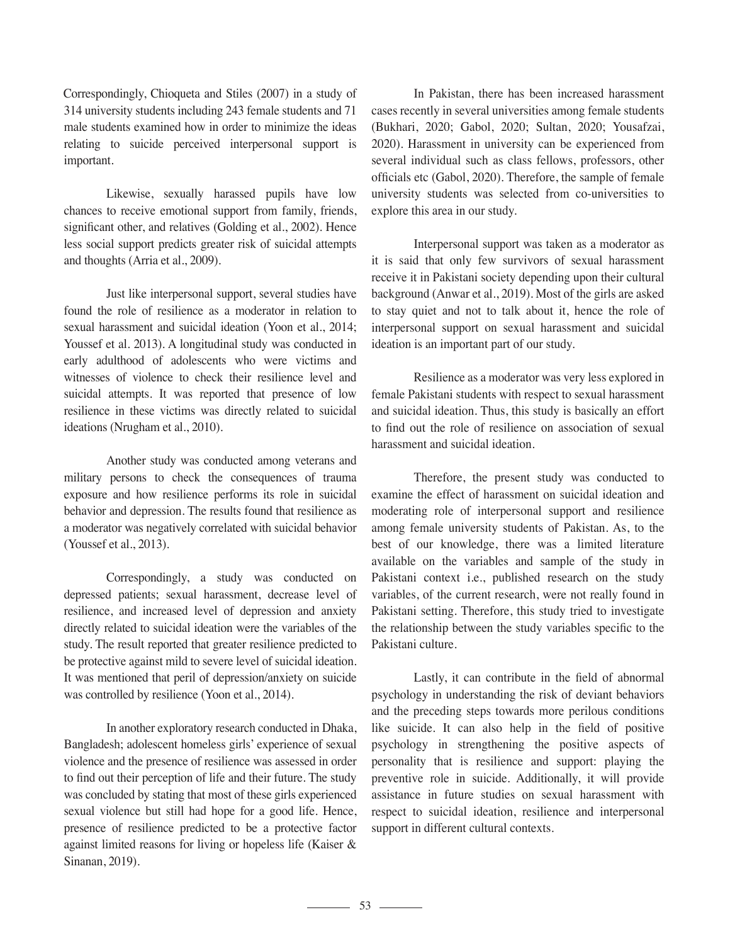Correspondingly, Chioqueta and Stiles (2007) in a study of 314 university students including 243 female students and 71 male students examined how in order to minimize the ideas relating to suicide perceived interpersonal support is important.

 Likewise, sexually harassed pupils have low chances to receive emotional support from family, friends, significant other, and relatives (Golding et al., 2002). Hence less social support predicts greater risk of suicidal attempts and thoughts (Arria et al., 2009).

 Just like interpersonal support, several studies have found the role of resilience as a moderator in relation to sexual harassment and suicidal ideation (Yoon et al., 2014; Youssef et al. 2013). A longitudinal study was conducted in early adulthood of adolescents who were victims and witnesses of violence to check their resilience level and suicidal attempts. It was reported that presence of low resilience in these victims was directly related to suicidal ideations (Nrugham et al., 2010).

 Another study was conducted among veterans and military persons to check the consequences of trauma exposure and how resilience performs its role in suicidal behavior and depression. The results found that resilience as a moderator was negatively correlated with suicidal behavior (Youssef et al., 2013).

 Correspondingly, a study was conducted on depressed patients; sexual harassment, decrease level of resilience, and increased level of depression and anxiety directly related to suicidal ideation were the variables of the study. The result reported that greater resilience predicted to be protective against mild to severe level of suicidal ideation. It was mentioned that peril of depression/anxiety on suicide was controlled by resilience (Yoon et al., 2014).

 In another exploratory research conducted in Dhaka, Bangladesh; adolescent homeless girls' experience of sexual violence and the presence of resilience was assessed in order to find out their perception of life and their future. The study was concluded by stating that most of these girls experienced sexual violence but still had hope for a good life. Hence, presence of resilience predicted to be a protective factor against limited reasons for living or hopeless life (Kaiser & Sinanan, 2019).

 In Pakistan, there has been increased harassment cases recently in several universities among female students (Bukhari, 2020; Gabol, 2020; Sultan, 2020; Yousafzai, 2020). Harassment in university can be experienced from several individual such as class fellows, professors, other officials etc (Gabol, 2020). Therefore, the sample of female university students was selected from co-universities to explore this area in our study.

 Interpersonal support was taken as a moderator as it is said that only few survivors of sexual harassment receive it in Pakistani society depending upon their cultural background (Anwar et al., 2019). Most of the girls are asked to stay quiet and not to talk about it, hence the role of interpersonal support on sexual harassment and suicidal ideation is an important part of our study.

 Resilience as a moderator was very less explored in female Pakistani students with respect to sexual harassment and suicidal ideation. Thus, this study is basically an effort to find out the role of resilience on association of sexual harassment and suicidal ideation.

 Therefore, the present study was conducted to examine the effect of harassment on suicidal ideation and moderating role of interpersonal support and resilience among female university students of Pakistan. As, to the best of our knowledge, there was a limited literature available on the variables and sample of the study in Pakistani context i.e., published research on the study variables, of the current research, were not really found in Pakistani setting. Therefore, this study tried to investigate the relationship between the study variables specific to the Pakistani culture.

 Lastly, it can contribute in the field of abnormal psychology in understanding the risk of deviant behaviors and the preceding steps towards more perilous conditions like suicide. It can also help in the field of positive psychology in strengthening the positive aspects of personality that is resilience and support: playing the preventive role in suicide. Additionally, it will provide assistance in future studies on sexual harassment with respect to suicidal ideation, resilience and interpersonal support in different cultural contexts.

53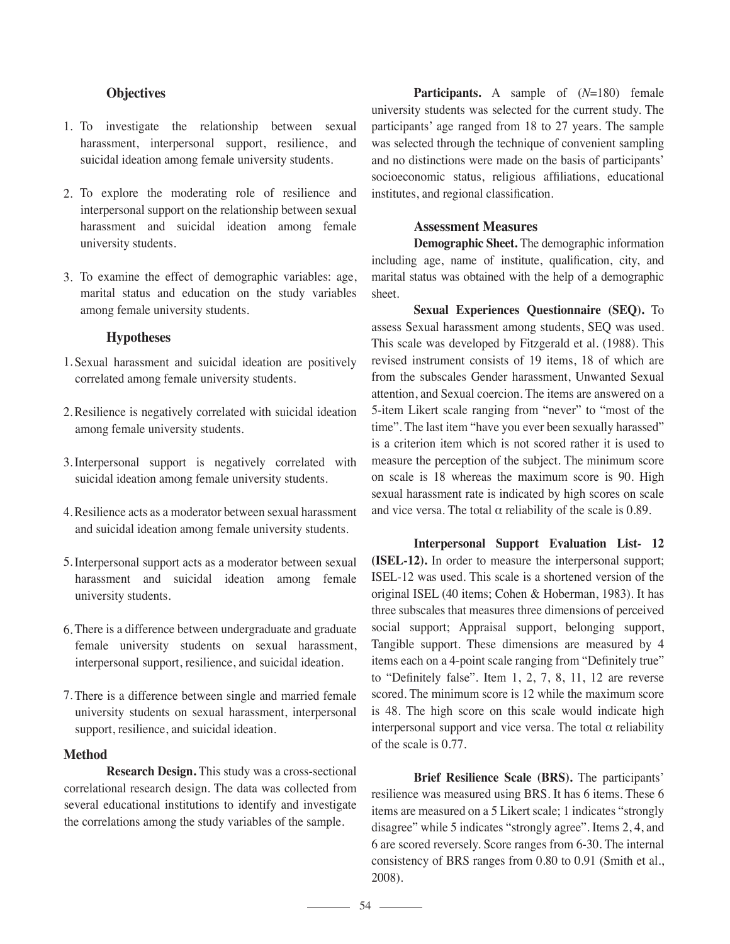## **Objectives**

- 1. To investigate the relationship between sexual harassment, interpersonal support, resilience, and suicidal ideation among female university students.
- 2. To explore the moderating role of resilience and interpersonal support on the relationship between sexual harassment and suicidal ideation among female university students.
- To examine the effect of demographic variables: age, 3. marital status and education on the study variables among female university students.

## **Hypotheses**

- 1. Sexual harassment and suicidal ideation are positively correlated among female university students.
- 2. Resilience is negatively correlated with suicidal ideation among female university students.
- 3. Interpersonal support is negatively correlated with suicidal ideation among female university students.
- Resilience acts as a moderator between sexual harassment 4. and suicidal ideation among female university students.
- 5. Interpersonal support acts as a moderator between sexual harassment and suicidal ideation among female university students.
- There is a difference between undergraduate and graduate 6. female university students on sexual harassment, interpersonal support, resilience, and suicidal ideation.
- There is a difference between single and married female 7.university students on sexual harassment, interpersonal support, resilience, and suicidal ideation.

### **Method**

**Research Design.** This study was a cross-sectional correlational research design. The data was collected from several educational institutions to identify and investigate the correlations among the study variables of the sample.

 **Participants.** A sample of (*N*=180) female university students was selected for the current study. The participants' age ranged from 18 to 27 years. The sample was selected through the technique of convenient sampling and no distinctions were made on the basis of participants' socioeconomic status, religious affiliations, educational institutes, and regional classification.

#### **Assessment Measures**

 **Demographic Sheet.** The demographic information including age, name of institute, qualification, city, and marital status was obtained with the help of a demographic sheet.

**Sexual Experiences Questionnaire (SEQ).** To assess Sexual harassment among students, SEQ was used. This scale was developed by Fitzgerald et al. (1988). This revised instrument consists of 19 items, 18 of which are from the subscales Gender harassment, Unwanted Sexual attention, and Sexual coercion. The items are answered on a 5-item Likert scale ranging from "never" to "most of the time". The last item "have you ever been sexually harassed" is a criterion item which is not scored rather it is used to measure the perception of the subject. The minimum score on scale is 18 whereas the maximum score is 90. High sexual harassment rate is indicated by high scores on scale and vice versa. The total  $\alpha$  reliability of the scale is 0.89.

**Interpersonal Support Evaluation List- 12 (ISEL-12).** In order to measure the interpersonal support; ISEL-12 was used. This scale is a shortened version of the original ISEL (40 items; Cohen & Hoberman, 1983). It has three subscales that measures three dimensions of perceived social support; Appraisal support, belonging support, Tangible support. These dimensions are measured by 4 items each on a 4-point scale ranging from "Definitely true" to "Definitely false". Item 1, 2, 7, 8, 11, 12 are reverse scored. The minimum score is 12 while the maximum score is 48. The high score on this scale would indicate high interpersonal support and vice versa. The total  $\alpha$  reliability of the scale is 0.77.

 **Brief Resilience Scale (BRS).** The participants' resilience was measured using BRS. It has 6 items. These 6 items are measured on a 5 Likert scale; 1 indicates "strongly disagree" while 5 indicates "strongly agree". Items 2, 4, and 6 are scored reversely. Score ranges from 6-30. The internal consistency of BRS ranges from 0.80 to 0.91 (Smith et al., 2008).

 $\frac{54}{\sqrt{11}}$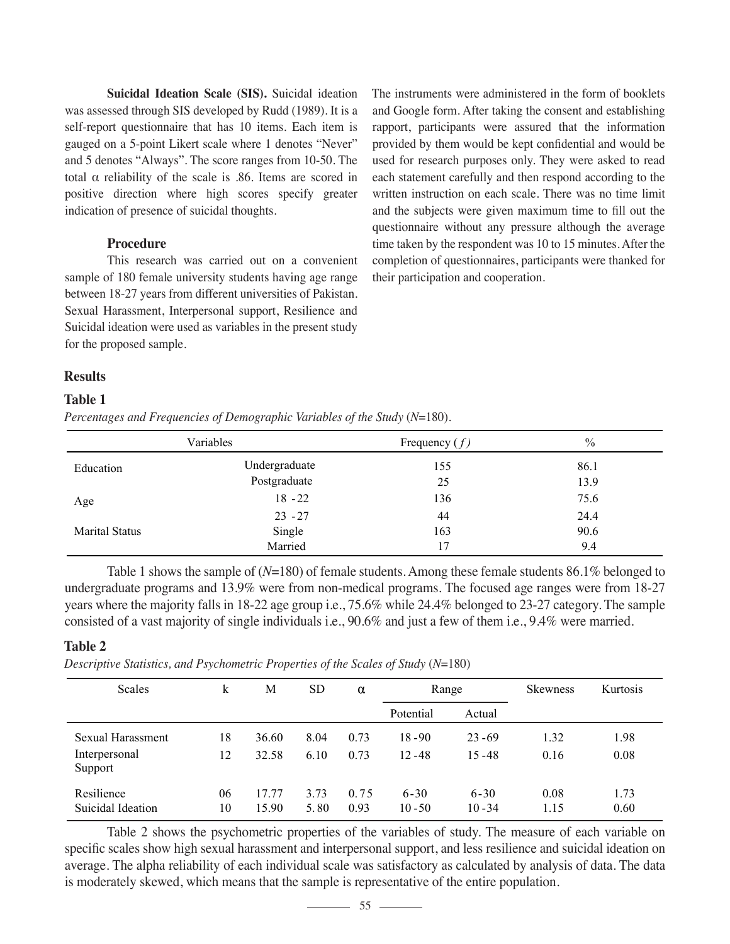**Suicidal Ideation Scale (SIS).** Suicidal ideation was assessed through SIS developed by Rudd (1989). It is a self-report questionnaire that has 10 items. Each item is gauged on a 5-point Likert scale where 1 denotes "Never" and 5 denotes "Always". The score ranges from 10-50. The total α reliability of the scale is .86. Items are scored in positive direction where high scores specify greater indication of presence of suicidal thoughts.

## **Procedure**

 This research was carried out on a convenient sample of 180 female university students having age range between 18-27 years from different universities of Pakistan. Sexual Harassment, Interpersonal support, Resilience and Suicidal ideation were used as variables in the present study for the proposed sample.

The instruments were administered in the form of booklets and Google form. After taking the consent and establishing rapport, participants were assured that the information provided by them would be kept confidential and would be used for research purposes only. They were asked to read each statement carefully and then respond according to the written instruction on each scale. There was no time limit and the subjects were given maximum time to fill out the questionnaire without any pressure although the average time taken by the respondent was 10 to 15 minutes. After the completion of questionnaires, participants were thanked for their participation and cooperation.

### **Results**

### **Table 1**

*Percentages and Frequencies of Demographic Variables of the Study (N=180).* 

|                       | Variables     | Frequency $(f)$ | $\frac{0}{0}$ |
|-----------------------|---------------|-----------------|---------------|
| Education             | Undergraduate | 155             | 86.1          |
|                       | Postgraduate  | 25              | 13.9          |
| Age                   | $18 - 22$     | 136             | 75.6          |
|                       | $23 - 27$     | 44              | 24.4          |
| <b>Marital Status</b> | Single        | 163             | 90.6          |
|                       | Married       | 17              | 9.4           |

 Table 1 shows the sample of (*N*=180) of female students. Among these female students 86.1% belonged to undergraduate programs and 13.9% were from non-medical programs. The focused age ranges were from 18-27 years where the majority falls in 18-22 age group i.e., 75.6% while 24.4% belonged to 23-27 category. The sample consisted of a vast majority of single individuals i.e., 90.6% and just a few of them i.e., 9.4% were married.

### **Table 2**

*Descriptive Statistics, and Psychometric Properties of the Scales of Study* (*N*=180)

| Scales                                        | k        | М              | <b>SD</b>    | α            | Range                  |                        | <b>Skewness</b> | Kurtosis     |
|-----------------------------------------------|----------|----------------|--------------|--------------|------------------------|------------------------|-----------------|--------------|
|                                               |          |                |              |              | Potential<br>Actual    |                        |                 |              |
| Sexual Harassment<br>Interpersonal<br>Support | 18<br>12 | 36.60<br>32.58 | 8.04<br>6.10 | 0.73<br>0.73 | $18 - 90$<br>$12 - 48$ | $23 - 69$<br>$15 - 48$ | 1.32<br>0.16    | 1.98<br>0.08 |
| Resilience<br>Suicidal Ideation               | 06<br>10 | 17.77<br>15.90 | 3.73<br>5.80 | 0.75<br>0.93 | $6 - 30$<br>$10 - 50$  | $6 - 30$<br>$10 - 34$  | 0.08<br>1.15    | 1.73<br>0.60 |

 Table 2 shows the psychometric properties of the variables of study. The measure of each variable on specific scales show high sexual harassment and interpersonal support, and less resilience and suicidal ideation on average. The alpha reliability of each individual scale was satisfactory as calculated by analysis of data. The data is moderately skewed, which means that the sample is representative of the entire population.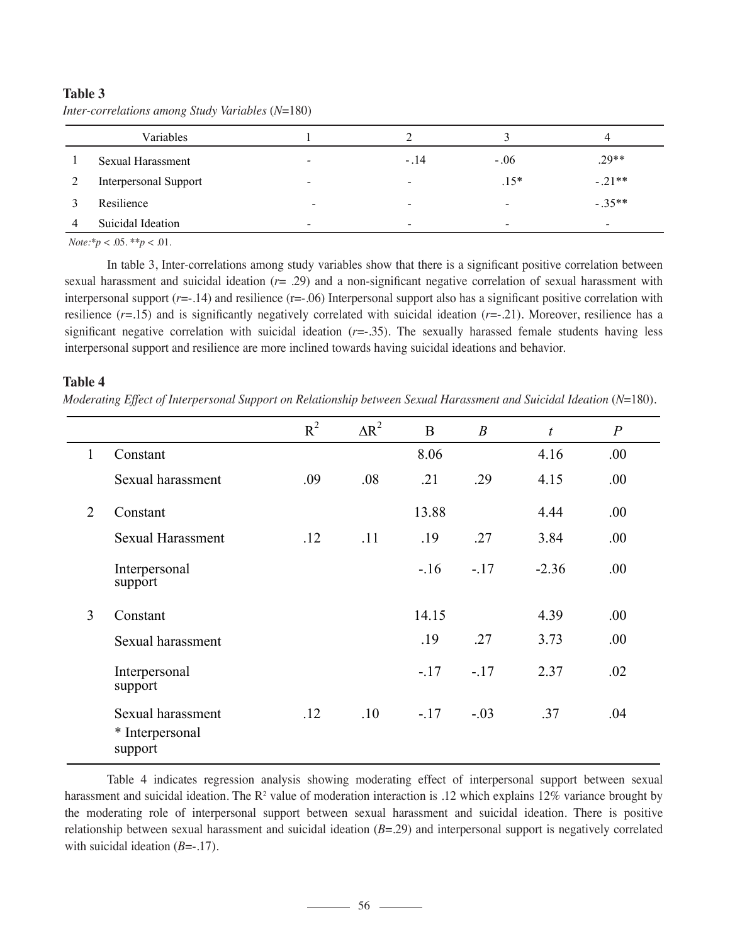|   | Variables                    |                          |        |                          | 4         |
|---|------------------------------|--------------------------|--------|--------------------------|-----------|
|   | Sexual Harassment            | $\overline{\phantom{a}}$ | $-.14$ | $-.06$                   | $.29**$   |
|   | <b>Interpersonal Support</b> | $\overline{\phantom{a}}$ | -      | $.15*$                   | $-.21**$  |
|   | Resilience                   | $\overline{\phantom{a}}$ | -      | $\qquad \qquad$          | $-.35***$ |
| 4 | Suicidal Ideation            | $\qquad \qquad$          | -      | $\overline{\phantom{0}}$ |           |

# **Table 3** *Inter-correlations among Study Variables* (*N*=180)

 $Note: p < .05.$  *\*\*p*  $< .01$ .

 In table 3, Inter-correlations among study variables show that there is a significant positive correlation between sexual harassment and suicidal ideation (*r*= .29) and a non-significant negative correlation of sexual harassment with interpersonal support (*r*=-.14) and resilience (r=-.06) Interpersonal support also has a significant positive correlation with resilience (*r*=.15) and is significantly negatively correlated with suicidal ideation (*r*=-.21). Moreover, resilience has a significant negative correlation with suicidal ideation (*r*=-.35). The sexually harassed female students having less interpersonal support and resilience are more inclined towards having suicidal ideations and behavior.

## **Table 4**

*Moderating Effect of Interpersonal Support on Relationship between Sexual Harassment and Suicidal Ideation (N=180).* 

|              |                                                 | $R^2$ | $\Delta R^2$ | B      | $\boldsymbol{B}$ | $\boldsymbol{t}$ | $\overline{P}$ |
|--------------|-------------------------------------------------|-------|--------------|--------|------------------|------------------|----------------|
| $\mathbf{1}$ | Constant                                        |       |              | 8.06   |                  | 4.16             | .00.           |
|              | Sexual harassment                               | .09   | .08          | .21    | .29              | 4.15             | .00            |
| 2            | Constant                                        |       |              | 13.88  |                  | 4.44             | .00            |
|              | <b>Sexual Harassment</b>                        | .12   | .11          | .19    | .27              | 3.84             | .00.           |
|              | Interpersonal<br>support                        |       |              | $-.16$ | $-17$            | $-2.36$          | .00            |
| 3            | Constant                                        |       |              | 14.15  |                  | 4.39             | .00            |
|              | Sexual harassment                               |       |              | .19    | .27              | 3.73             | .00            |
|              | Interpersonal<br>support                        |       |              | $-.17$ | $-.17$           | 2.37             | .02            |
|              | Sexual harassment<br>* Interpersonal<br>support | .12   | .10          | $-.17$ | $-.03$           | .37              | .04            |

 Table 4 indicates regression analysis showing moderating effect of interpersonal support between sexual harassment and suicidal ideation. The  $R^2$  value of moderation interaction is .12 which explains 12% variance brought by the moderating role of interpersonal support between sexual harassment and suicidal ideation. There is positive relationship between sexual harassment and suicidal ideation (*B*=.29) and interpersonal support is negatively correlated with suicidal ideation (*B*=-.17).

 $\frac{1}{\sqrt{1-\frac{1}{\sqrt{1-\frac{1}{\sqrt{1-\frac{1}{\sqrt{1-\frac{1}{\sqrt{1-\frac{1}{\sqrt{1-\frac{1}{\sqrt{1-\frac{1}{\sqrt{1-\frac{1}{\sqrt{1-\frac{1}{\sqrt{1-\frac{1}{\sqrt{1-\frac{1}{\sqrt{1-\frac{1}{\sqrt{1-\frac{1}{\sqrt{1-\frac{1}{\sqrt{1-\frac{1}{\sqrt{1-\frac{1}{\sqrt{1-\frac{1}{\sqrt{1-\frac{1}{\sqrt{1-\frac{1}{\sqrt{1-\frac{1}{\sqrt{1-\frac{1}{\sqrt{1-\frac{1}{\sqrt{1-\frac{1}{\sqrt{1-\frac{1$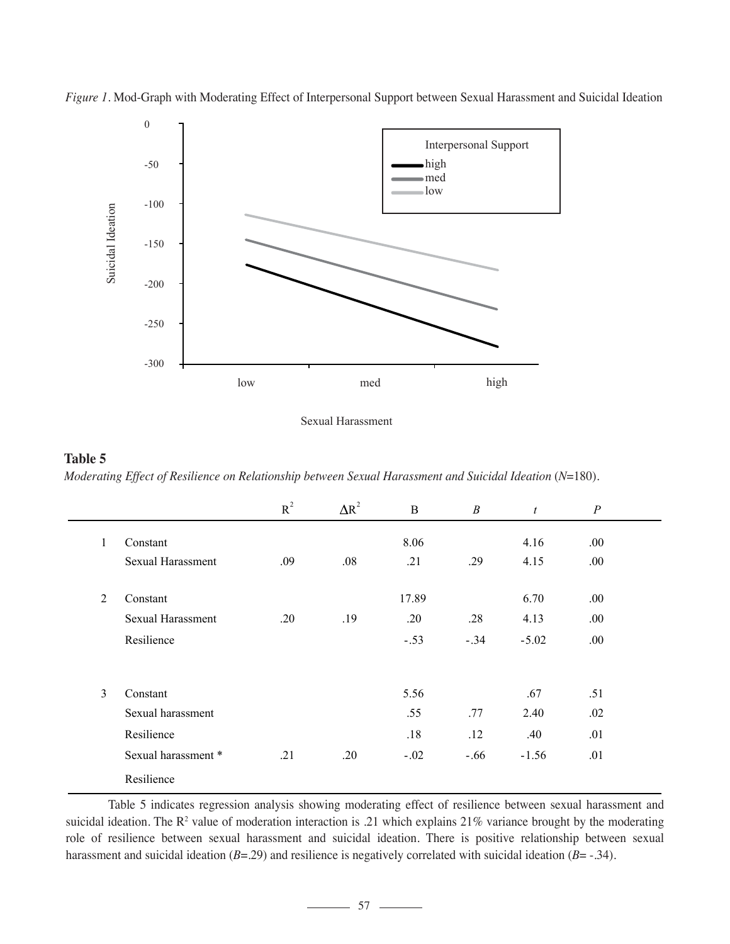

*Figure 1.* Mod-Graph with Moderating Effect of Interpersonal Support between Sexual Harassment and Suicidal Ideation

Sexual Harassment

# **Table 5** *Moderating Effect of Resilience on Relationship between Sexual Harassment and Suicidal Ideation (N=180).*

|   |                     | $R^2$ | $\Delta R^2$ | B      | $\boldsymbol{B}$ | $\mathfrak{t}$ | $\boldsymbol{P}$ |  |
|---|---------------------|-------|--------------|--------|------------------|----------------|------------------|--|
| 1 | Constant            |       |              | 8.06   |                  | 4.16           | .00.             |  |
|   | Sexual Harassment   | .09   | .08          | .21    | .29              | 4.15           | .00.             |  |
|   |                     |       |              |        |                  |                |                  |  |
| 2 | Constant            |       |              | 17.89  |                  | 6.70           | .00.             |  |
|   | Sexual Harassment   | .20   | .19          | .20    | .28              | 4.13           | .00.             |  |
|   | Resilience          |       |              | $-.53$ | $-.34$           | $-5.02$        | .00.             |  |
|   |                     |       |              |        |                  |                |                  |  |
| 3 | Constant            |       |              | 5.56   |                  | .67            | .51              |  |
|   | Sexual harassment   |       |              | .55    | .77              | 2.40           | .02              |  |
|   | Resilience          |       |              | .18    | .12              | .40            | .01              |  |
|   | Sexual harassment * | .21   | .20          | $-.02$ | $-.66$           | $-1.56$        | .01              |  |
|   | Resilience          |       |              |        |                  |                |                  |  |

 Table 5 indicates regression analysis showing moderating effect of resilience between sexual harassment and suicidal ideation. The  $\mathbb{R}^2$  value of moderation interaction is .21 which explains 21% variance brought by the moderating role of resilience between sexual harassment and suicidal ideation. There is positive relationship between sexual harassment and suicidal ideation (*B*=.29) and resilience is negatively correlated with suicidal ideation (*B*=-.34).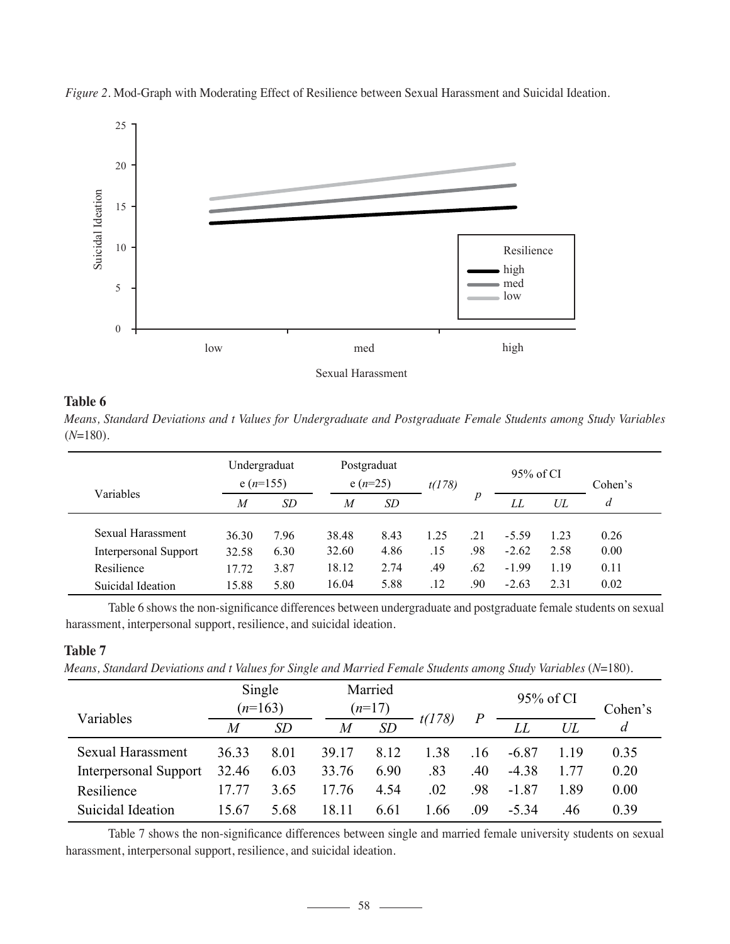

*Figure 2.* Mod-Graph with Moderating Effect of Resilience between Sexual Harassment and Suicidal Ideation.



# **Table 6**

*Means, Standard Deviations and t Values for Undergraduate and Postgraduate Female Students among Study Variables*  (*N*=180)*.*

|                              | Undergraduat<br>e $(n=155)$ |      |                | Postgraduat<br>e $(n=25)$ |      |     | 95% of CI |      | Cohen's |
|------------------------------|-----------------------------|------|----------------|---------------------------|------|-----|-----------|------|---------|
| Variables                    | M                           | SD   | $\overline{M}$ | <i>SD</i>                 |      | p   | LL        | UL   | d       |
| Sexual Harassment            | 36.30                       | 7.96 | 38.48          | 8.43                      | 1.25 | .21 | $-5.59$   | 1.23 | 0.26    |
| <b>Interpersonal Support</b> | 32.58                       | 6.30 | 32.60          | 4.86                      | .15  | .98 | $-2.62$   | 2.58 | 0.00    |
| Resilience                   | 17.72                       | 3.87 | 18.12          | 2.74                      | .49  | .62 | $-1.99$   | 1.19 | 0.11    |
| Suicidal Ideation            | 15.88                       | 5.80 | 16.04          | 5.88                      | .12  | .90 | $-2.63$   | 2.31 | 0.02    |

 Table 6 shows the non-significance differences between undergraduate and postgraduate female students on sexual harassment, interpersonal support, resilience, and suicidal ideation.

## **Table 7**

*Means, Standard Deviations and t Values for Single and Married Female Students among Study Variables* (*N*=180).

| Variables                    | Single<br>$(n=163)$ |      | Married<br>$(n=17)$ |      |        | $\overline{P}$ | 95% of CI |        | Cohen's |  |
|------------------------------|---------------------|------|---------------------|------|--------|----------------|-----------|--------|---------|--|
|                              | M                   | SD   | $\overline{M}$      | SD   | t(178) |                | LL        | $U\!L$ | d       |  |
| Sexual Harassment            | 36.33               | 8.01 | 39.17               | 8.12 | 1.38   | .16            | $-6.87$   | 119    | 0.35    |  |
| <b>Interpersonal Support</b> | 32.46               | 6.03 | 33.76               | 6.90 | .83    | .40            | $-4.38$   | 177    | 0.20    |  |
| Resilience                   | 17 77               | 3.65 | 17 76               | 4.54 | .02    | .98            | $-1.87$   | 189    | 0.00    |  |
| Suicidal Ideation            | 15.67               | 5.68 | 18 11               | 6.61 | 1.66   | .09            | $-5.34$   | .46    | 0.39    |  |

 Table 7 shows the non-significance differences between single and married female university students on sexual harassment, interpersonal support, resilience, and suicidal ideation.

 $-58$   $-$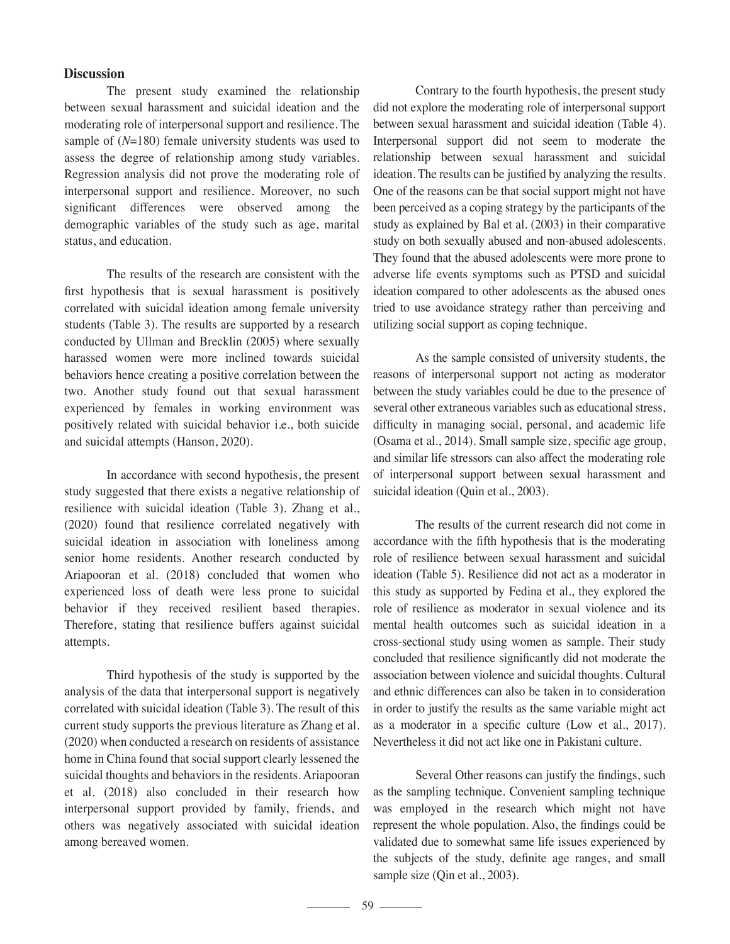### **Discussion**

 The present study examined the relationship between sexual harassment and suicidal ideation and the moderating role of interpersonal support and resilience. The sample of (*N*=180) female university students was used to assess the degree of relationship among study variables. Regression analysis did not prove the moderating role of interpersonal support and resilience. Moreover, no such significant differences were observed among the demographic variables of the study such as age, marital status, and education.

 The results of the research are consistent with the first hypothesis that is sexual harassment is positively correlated with suicidal ideation among female university students (Table 3). The results are supported by a research conducted by Ullman and Brecklin (2005) where sexually harassed women were more inclined towards suicidal behaviors hence creating a positive correlation between the two. Another study found out that sexual harassment experienced by females in working environment was positively related with suicidal behavior i.e., both suicide and suicidal attempts (Hanson, 2020).

 In accordance with second hypothesis, the present study suggested that there exists a negative relationship of resilience with suicidal ideation (Table 3). Zhang et al., (2020) found that resilience correlated negatively with suicidal ideation in association with loneliness among senior home residents. Another research conducted by Ariapooran et al. (2018) concluded that women who experienced loss of death were less prone to suicidal behavior if they received resilient based therapies. Therefore, stating that resilience buffers against suicidal attempts.

 Third hypothesis of the study is supported by the analysis of the data that interpersonal support is negatively correlated with suicidal ideation (Table 3). The result of this current study supports the previous literature as Zhang et al. (2020) when conducted a research on residents of assistance home in China found that social support clearly lessened the suicidal thoughts and behaviors in the residents. Ariapooran et al. (2018) also concluded in their research how interpersonal support provided by family, friends, and others was negatively associated with suicidal ideation among bereaved women.

 Contrary to the fourth hypothesis, the present study did not explore the moderating role of interpersonal support between sexual harassment and suicidal ideation (Table 4). Interpersonal support did not seem to moderate the relationship between sexual harassment and suicidal ideation. The results can be justified by analyzing the results. One of the reasons can be that social support might not have been perceived as a coping strategy by the participants of the study as explained by Bal et al. (2003) in their comparative study on both sexually abused and non-abused adolescents. They found that the abused adolescents were more prone to adverse life events symptoms such as PTSD and suicidal ideation compared to other adolescents as the abused ones tried to use avoidance strategy rather than perceiving and utilizing social support as coping technique.

 As the sample consisted of university students, the reasons of interpersonal support not acting as moderator between the study variables could be due to the presence of several other extraneous variables such as educational stress, difficulty in managing social, personal, and academic life (Osama et al., 2014). Small sample size, specific age group, and similar life stressors can also affect the moderating role of interpersonal support between sexual harassment and suicidal ideation (Quin et al., 2003).

 The results of the current research did not come in accordance with the fifth hypothesis that is the moderating role of resilience between sexual harassment and suicidal ideation (Table 5). Resilience did not act as a moderator in this study as supported by Fedina et al., they explored the role of resilience as moderator in sexual violence and its mental health outcomes such as suicidal ideation in a cross-sectional study using women as sample. Their study concluded that resilience significantly did not moderate the association between violence and suicidal thoughts. Cultural and ethnic differences can also be taken in to consideration in order to justify the results as the same variable might act as a moderator in a specific culture (Low et al., 2017). Nevertheless it did not act like one in Pakistani culture.

 Several Other reasons can justify the findings, such as the sampling technique. Convenient sampling technique was employed in the research which might not have represent the whole population. Also, the findings could be validated due to somewhat same life issues experienced by the subjects of the study, definite age ranges, and small sample size (Qin et al., 2003).

59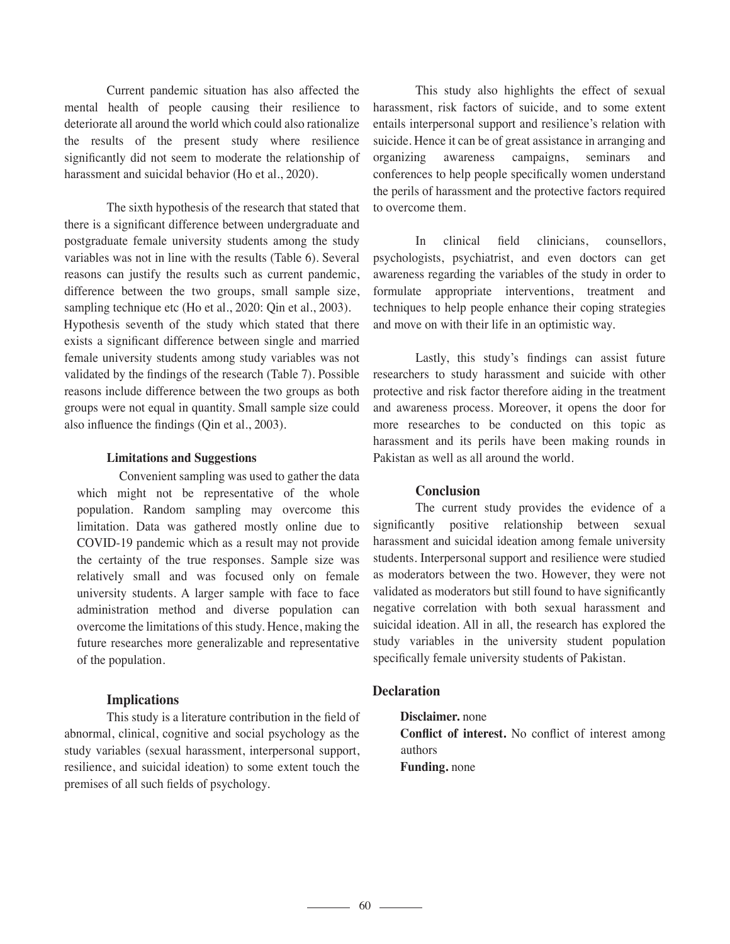Current pandemic situation has also affected the mental health of people causing their resilience to deteriorate all around the world which could also rationalize the results of the present study where resilience significantly did not seem to moderate the relationship of harassment and suicidal behavior (Ho et al., 2020).

 The sixth hypothesis of the research that stated that there is a significant difference between undergraduate and postgraduate female university students among the study variables was not in line with the results (Table 6). Several reasons can justify the results such as current pandemic, difference between the two groups, small sample size, sampling technique etc (Ho et al., 2020: Qin et al., 2003). Hypothesis seventh of the study which stated that there exists a significant difference between single and married female university students among study variables was not validated by the findings of the research (Table 7). Possible reasons include difference between the two groups as both groups were not equal in quantity. Small sample size could also influence the findings (Qin et al., 2003).

### **Limitations and Suggestions**

 Convenient sampling was used to gather the data which might not be representative of the whole population. Random sampling may overcome this limitation. Data was gathered mostly online due to COVID-19 pandemic which as a result may not provide the certainty of the true responses. Sample size was relatively small and was focused only on female university students. A larger sample with face to face administration method and diverse population can overcome the limitations of this study. Hence, making the future researches more generalizable and representative of the population.

### **Implications**

 This study is a literature contribution in the field of abnormal, clinical, cognitive and social psychology as the study variables (sexual harassment, interpersonal support, resilience, and suicidal ideation) to some extent touch the premises of all such fields of psychology.

 This study also highlights the effect of sexual harassment, risk factors of suicide, and to some extent entails interpersonal support and resilience's relation with suicide. Hence it can be of great assistance in arranging and organizing awareness campaigns, seminars and conferences to help people specifically women understand the perils of harassment and the protective factors required to overcome them.

 In clinical field clinicians, counsellors, psychologists, psychiatrist, and even doctors can get awareness regarding the variables of the study in order to formulate appropriate interventions, treatment and techniques to help people enhance their coping strategies and move on with their life in an optimistic way.

 Lastly, this study's findings can assist future researchers to study harassment and suicide with other protective and risk factor therefore aiding in the treatment and awareness process. Moreover, it opens the door for more researches to be conducted on this topic as harassment and its perils have been making rounds in Pakistan as well as all around the world.

### **Conclusion**

 The current study provides the evidence of a significantly positive relationship between sexual harassment and suicidal ideation among female university students. Interpersonal support and resilience were studied as moderators between the two. However, they were not validated as moderators but still found to have significantly negative correlation with both sexual harassment and suicidal ideation. All in all, the research has explored the study variables in the university student population specifically female university students of Pakistan.

### **Declaration**

**Disclaimer.** none **Conflict of interest.** No conflict of interest among authors **Funding.** none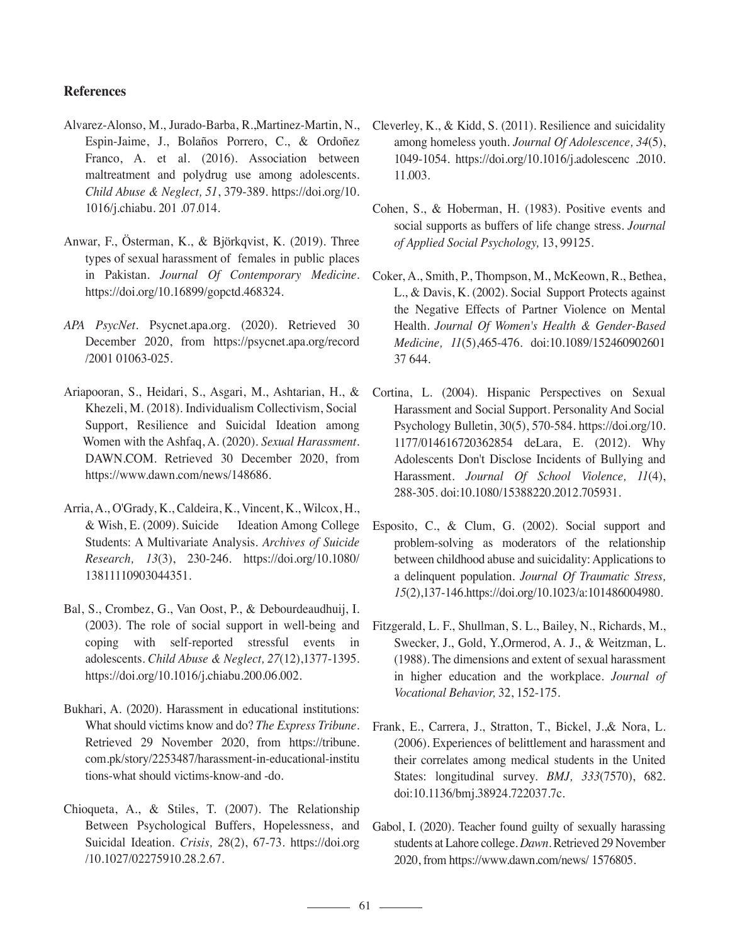### **References**

- Alvarez-Alonso, M., Jurado-Barba, R.,Martinez-Martin, N., Espin-Jaime, J., Bolaños Porrero, C., & Ordoñez Franco, A. et al. (2016). Association between maltreatment and polydrug use among adolescents. *Child Abuse & Neglect, 51*, 379-389. https://doi.org/10. 1016/j.chiabu. 201 .07.014.
- Anwar, F., Österman, K., & Björkqvist, K. (2019). Three types of sexual harassment of females in public places in Pakistan. *Journal Of Contemporary Medicine.*  https://doi.org/10.16899/gopctd.468324.
- *APA PsycNet.* Psycnet.apa.org. (2020). Retrieved 30 December 2020, from https://psycnet.apa.org/record /2001 01063-025.
- Ariapooran, S., Heidari, S., Asgari, M., Ashtarian, H., & Khezeli, M. (2018). Individualism Collectivism, Social Support, Resilience and Suicidal Ideation among Women with the Ashfaq, A. (2020). *Sexual Harassment.*  DAWN.COM. Retrieved 30 December 2020, from https://www.dawn.com/news/148686.
- Arria, A., O'Grady, K., Caldeira, K., Vincent, K., Wilcox, H., & Wish, E. (2009). Suicide Ideation Among College Students: A Multivariate Analysis. *Archives of Suicide Research, 13*(3), 230-246. https://doi.org/10.1080/ 13811110903044351.
- Bal, S., Crombez, G., Van Oost, P., & Debourdeaudhuij, I. (2003). The role of social support in well-being and coping with self-reported stressful events in adolescents. *Child Abuse & Neglect, 27*(12),1377-1395. https://doi.org/10.1016/j.chiabu.200.06.002.
- Bukhari, A. (2020). Harassment in educational institutions: What should victims know and do? *The Express Tribune.*  Retrieved 29 November 2020, from https://tribune. com.pk/story/2253487/harassment-in-educational-institu tions-what should victims-know-and -do.
- Chioqueta, A., & Stiles, T. (2007). The Relationship Between Psychological Buffers, Hopelessness, and Suicidal Ideation. *Crisis, 2*8(2), 67-73. https://doi.org /10.1027/02275910.28.2.67.
- Cleverley, K., & Kidd, S. (2011). Resilience and suicidality among homeless youth. *Journal Of Adolescence, 34*(5), 1049-1054. https://doi.org/10.1016/j.adolescenc .2010. 11.003.
- Cohen, S., & Hoberman, H. (1983). Positive events and social supports as buffers of life change stress. *Journal of Applied Social Psychology,* 13, 99125.
- Coker, A., Smith, P., Thompson, M., McKeown, R., Bethea, L., & Davis, K. (2002). Social Support Protects against the Negative Effects of Partner Violence on Mental Health. *Journal Of Women's Health & Gender-Based Medicine, 11*(5),465-476. doi:10.1089/152460902601 37 644.
- Cortina, L. (2004). Hispanic Perspectives on Sexual Harassment and Social Support. Personality And Social Psychology Bulletin, 30(5), 570-584. https://doi.org/10. 1177/014616720362854 deLara, E. (2012). Why Adolescents Don't Disclose Incidents of Bullying and Harassment. *Journal Of School Violence, 11*(4), 288-305. doi:10.1080/15388220.2012.705931.
- Esposito, C., & Clum, G. (2002). Social support and problem-solving as moderators of the relationship between childhood abuse and suicidality: Applications to a delinquent population. *Journal Of Traumatic Stress, 15*(2),137-146.https://doi.org/10.1023/a:101486004980.
- Fitzgerald, L. F., Shullman, S. L., Bailey, N., Richards, M., Swecker, J., Gold, Y.,Ormerod, A. J., & Weitzman, L. (1988). The dimensions and extent of sexual harassment in higher education and the workplace. *Journal of Vocational Behavior,* 32, 152-175.
- Frank, E., Carrera, J., Stratton, T., Bickel, J.,& Nora, L. (2006). Experiences of belittlement and harassment and their correlates among medical students in the United States: longitudinal survey. *BMJ, 333*(7570), 682. doi:10.1136/bmj.38924.722037.7c.
- Gabol, I. (2020). Teacher found guilty of sexually harassing students at Lahore college. *Dawn.* Retrieved 29 November 2020, from https://www.dawn.com/news/ 1576805.

 $\sim$  61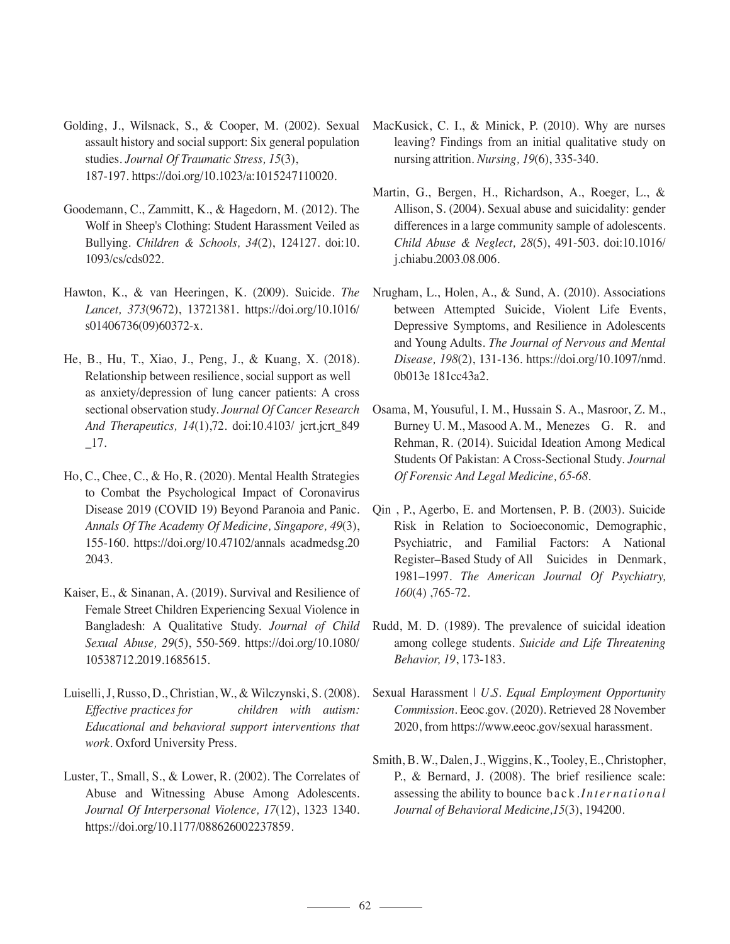Golding, J., Wilsnack, S., & Cooper, M. (2002). Sexual assault history and social support: Six general population studies. *Journal Of Traumatic Stress, 15*(3), 187-197. https://doi.org/10.1023/a:1015247110020.

- Goodemann, C., Zammitt, K., & Hagedorn, M. (2012). The Wolf in Sheep's Clothing: Student Harassment Veiled as Bullying. *Children & Schools, 34*(2), 124127. doi:10. 1093/cs/cds022.
- Hawton, K., & van Heeringen, K. (2009). Suicide. *The Lancet, 373*(9672), 13721381. https://doi.org/10.1016/ s01406736(09)60372-x.
- He, B., Hu, T., Xiao, J., Peng, J., & Kuang, X. (2018). Relationship between resilience, social support as well as anxiety/depression of lung cancer patients: A cross sectional observation study. *Journal Of Cancer Research And Therapeutics, 14*(1),72. doi:10.4103/ jcrt.jcrt\_849 \_17.
- Ho, C., Chee, C., & Ho, R. (2020). Mental Health Strategies to Combat the Psychological Impact of Coronavirus Disease 2019 (COVID 19) Beyond Paranoia and Panic. *Annals Of The Academy Of Medicine, Singapore, 49*(3), 155-160. https://doi.org/10.47102/annals acadmedsg.20 2043.
- Kaiser, E., & Sinanan, A. (2019). Survival and Resilience of Female Street Children Experiencing Sexual Violence in Bangladesh: A Qualitative Study. *Journal of Child Sexual Abuse, 29*(5), 550-569. https://doi.org/10.1080/ 10538712.2019.1685615.
- Luiselli, J, Russo, D., Christian, W., & Wilczynski, S. (2008). *Effective practices for children with autism: Educational and behavioral support interventions that work.* Oxford University Press.
- Luster, T., Small, S., & Lower, R. (2002). The Correlates of Abuse and Witnessing Abuse Among Adolescents. *Journal Of Interpersonal Violence, 17*(12), 1323 1340. https://doi.org/10.1177/088626002237859.
- MacKusick, C. I., & Minick, P. (2010). Why are nurses leaving? Findings from an initial qualitative study on nursing attrition. *Nursing, 19*(6), 335-340.
- Martin, G., Bergen, H., Richardson, A., Roeger, L., & Allison, S. (2004). Sexual abuse and suicidality: gender differences in a large community sample of adolescents. *Child Abuse & Neglect, 28*(5), 491-503. doi:10.1016/ j.chiabu.2003.08.006.
- Nrugham, L., Holen, A., & Sund, A. (2010). Associations between Attempted Suicide, Violent Life Events, Depressive Symptoms, and Resilience in Adolescents and Young Adults. *The Journal of Nervous and Mental Disease, 198*(2), 131-136. https://doi.org/10.1097/nmd. 0b013e 181cc43a2.
- Osama, M, Yousuful, I. M., Hussain S. A., Masroor, Z. M., Burney U. M., Masood A. M., Menezes G. R. and Rehman, R. (2014). Suicidal Ideation Among Medical Students Of Pakistan: A Cross-Sectional Study. *Journal Of Forensic And Legal Medicine, 65-68*.
- Qin , P., Agerbo, E. and Mortensen, P. B. (2003). Suicide Risk in Relation to Socioeconomic, Demographic, Psychiatric, and Familial Factors: A National Register–Based Study of All Suicides in Denmark, 1981–1997. *The American Journal Of Psychiatry, 160*(4) ,765-72.
- Rudd, M. D. (1989). The prevalence of suicidal ideation among college students. *Suicide and Life Threatening Behavior, 19*, 173-183.
- Sexual Harassment | *U.S. Equal Employment Opportunity Commission.* Eeoc.gov. (2020). Retrieved 28 November 2020, from https://www.eeoc.gov/sexual harassment.
- Smith, B. W., Dalen, J., Wiggins, K., Tooley, E., Christopher, P., & Bernard, J. (2008). The brief resilience scale: assessing the ability to bounce back.*International Journal of Behavioral Medicine,15*(3), 194200.

 $\sim$  62  $\sim$